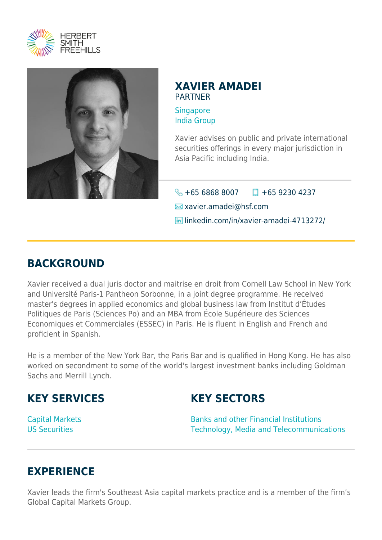



### **XAVIER AMADEI** PARTNER

**[Singapore](https://www.herbertsmithfreehills.com/where-we-work/singapore)** [India Group](https://www.herbertsmithfreehills.com/where-we-work/india-group)

Xavier advises on public and private international securities offerings in every major jurisdiction in Asia Pacific including India.

 $\bigotimes$  +65 6868 8007  $\Box$  +65 9230 4237

 $\blacksquare$  xavier.amadei@hsf.com

**lin** linkedin.com/in/xavier-amadei-4713272/

## **BACKGROUND**

Xavier received a dual juris doctor and maitrise en droit from Cornell Law School in New York and Université Paris-1 Pantheon Sorbonne, in a joint degree programme. He received master's degrees in applied economics and global business law from Institut d'Études Politiques de Paris (Sciences Po) and an MBA from École Supérieure des Sciences Economiques et Commerciales (ESSEC) in Paris. He is fluent in English and French and proficient in Spanish.

He is a member of the New York Bar, the Paris Bar and is qualified in Hong Kong. He has also worked on secondment to some of the world's largest investment banks including Goldman Sachs and Merrill Lynch.

## **KEY SERVICES**

# **KEY SECTORS**

Capital Markets US Securities

Banks and other Financial Institutions Technology, Media and Telecommunications

## **EXPERIENCE**

Xavier leads the firm's Southeast Asia capital markets practice and is a member of the firm's Global Capital Markets Group.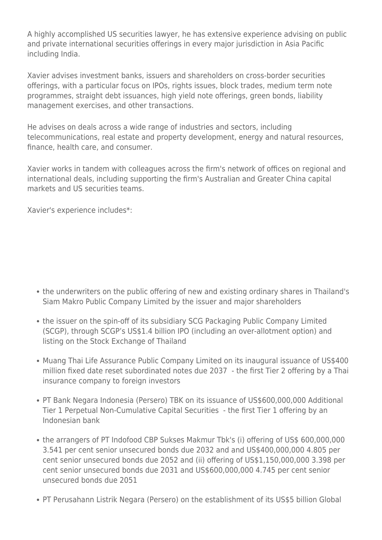A highly accomplished US securities lawyer, he has extensive experience advising on public and private international securities offerings in every major jurisdiction in Asia Pacific including India.

Xavier advises investment banks, issuers and shareholders on cross-border securities offerings, with a particular focus on IPOs, rights issues, block trades, medium term note programmes, straight debt issuances, high yield note offerings, green bonds, liability management exercises, and other transactions.

He advises on deals across a wide range of industries and sectors, including telecommunications, real estate and property development, energy and natural resources, finance, health care, and consumer.

Xavier works in tandem with colleagues across the firm's network of offices on regional and international deals, including supporting the firm's Australian and Greater China capital markets and US securities teams.

Xavier's experience includes\*:

- the underwriters on the public offering of new and existing ordinary shares in Thailand's Siam Makro Public Company Limited by the issuer and major shareholders
- the issuer on the spin-off of its subsidiary SCG Packaging Public Company Limited (SCGP), through SCGP's US\$1.4 billion IPO (including an over-allotment option) and listing on the Stock Exchange of Thailand
- Muang Thai Life Assurance Public Company Limited on its inaugural issuance of US\$400 million fixed date reset subordinated notes due 2037 - the first Tier 2 offering by a Thai insurance company to foreign investors
- PT Bank Negara Indonesia (Persero) TBK on its issuance of US\$600,000,000 Additional Tier 1 Perpetual Non-Cumulative Capital Securities - the first Tier 1 offering by an Indonesian bank
- the arrangers of PT Indofood CBP Sukses Makmur Tbk's (i) offering of US\$ 600,000,000 3.541 per cent senior unsecured bonds due 2032 and and US\$400,000,000 4.805 per cent senior unsecured bonds due 2052 and (ii) offering of US\$1,150,000,000 3.398 per cent senior unsecured bonds due 2031 and US\$600,000,000 4.745 per cent senior unsecured bonds due 2051
- PT Perusahann Listrik Negara (Persero) on the establishment of its US\$5 billion Global